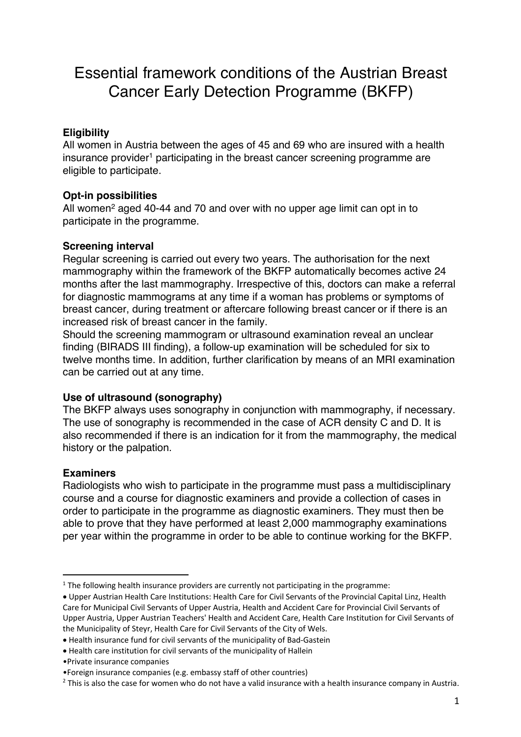# Essential framework conditions of the Austrian Breast Cancer Early Detection Programme (BKFP)

## **Eligibility**

All women in Austria between the ages of 45 and 69 who are insured with a health insurance provider<sup>1</sup> participating in the breast cancer screening programme are eligible to participate.

## **Opt-in possibilities**

All women<sup>2</sup> aged 40-44 and 70 and over with no upper age limit can opt in to participate in the programme.

### **Screening interval**

Regular screening is carried out every two years. The authorisation for the next mammography within the framework of the BKFP automatically becomes active 24 months after the last mammography. Irrespective of this, doctors can make a referral for diagnostic mammograms at any time if a woman has problems or symptoms of breast cancer, during treatment or aftercare following breast cancer or if there is an increased risk of breast cancer in the family.

Should the screening mammogram or ultrasound examination reveal an unclear finding (BIRADS III finding), a follow-up examination will be scheduled for six to twelve months time. In addition, further clarification by means of an MRI examination can be carried out at any time.

### **Use of ultrasound (sonography)**

The BKFP always uses sonography in conjunction with mammography, if necessary. The use of sonography is recommended in the case of ACR density C and D. It is also recommended if there is an indication for it from the mammography, the medical history or the palpation.

### **Examiners**

Radiologists who wish to participate in the programme must pass a multidisciplinary course and a course for diagnostic examiners and provide a collection of cases in order to participate in the programme as diagnostic examiners. They must then be able to prove that they have performed at least 2,000 mammography examinations per year within the programme in order to be able to continue working for the BKFP.

 $1$  The following health insurance providers are currently not participating in the programme:

<sup>•</sup> Upper Austrian Health Care Institutions: Health Care for Civil Servants of the Provincial Capital Linz, Health Care for Municipal Civil Servants of Upper Austria, Health and Accident Care for Provincial Civil Servants of Upper Austria, Upper Austrian Teachers' Health and Accident Care, Health Care Institution for Civil Servants of the Municipality of Steyr, Health Care for Civil Servants of the City of Wels.

<sup>•</sup> Health insurance fund for civil servants of the municipality of Bad-Gastein

<sup>•</sup> Health care institution for civil servants of the municipality of Hallein

<sup>•</sup>Private insurance companies

<sup>•</sup>Foreign insurance companies (e.g. embassy staff of other countries)

<sup>&</sup>lt;sup>2</sup> This is also the case for women who do not have a valid insurance with a health insurance company in Austria.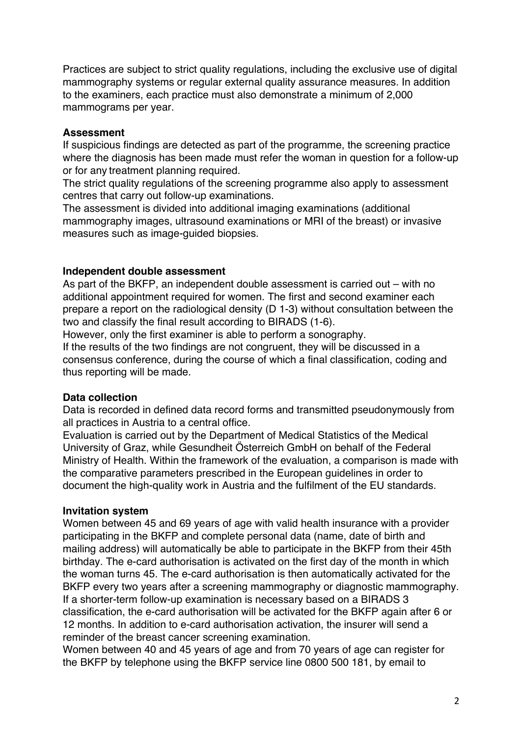Practices are subject to strict quality regulations, including the exclusive use of digital mammography systems or regular external quality assurance measures. In addition to the examiners, each practice must also demonstrate a minimum of 2,000 mammograms per year.

#### **Assessment**

If suspicious findings are detected as part of the programme, the screening practice where the diagnosis has been made must refer the woman in question for a follow-up or for any treatment planning required.

The strict quality regulations of the screening programme also apply to assessment centres that carry out follow-up examinations.

The assessment is divided into additional imaging examinations (additional mammography images, ultrasound examinations or MRI of the breast) or invasive measures such as image-guided biopsies.

### **Independent double assessment**

As part of the BKFP, an independent double assessment is carried out – with no additional appointment required for women. The first and second examiner each prepare a report on the radiological density (D 1-3) without consultation between the two and classify the final result according to BIRADS (1-6).

However, only the first examiner is able to perform a sonography. If the results of the two findings are not congruent, they will be discussed in a consensus conference, during the course of which a final classification, coding and thus reporting will be made.

### **Data collection**

Data is recorded in defined data record forms and transmitted pseudonymously from all practices in Austria to a central office.

Evaluation is carried out by the Department of Medical Statistics of the Medical University of Graz, while Gesundheit Österreich GmbH on behalf of the Federal Ministry of Health. Within the framework of the evaluation, a comparison is made with the comparative parameters prescribed in the European guidelines in order to document the high-quality work in Austria and the fulfilment of the EU standards.

#### **Invitation system**

Women between 45 and 69 years of age with valid health insurance with a provider participating in the BKFP and complete personal data (name, date of birth and mailing address) will automatically be able to participate in the BKFP from their 45th birthday. The e-card authorisation is activated on the first day of the month in which the woman turns 45. The e-card authorisation is then automatically activated for the BKFP every two years after a screening mammography or diagnostic mammography. If a shorter-term follow-up examination is necessary based on a BIRADS 3 classification, the e-card authorisation will be activated for the BKFP again after 6 or 12 months. In addition to e-card authorisation activation, the insurer will send a reminder of the breast cancer screening examination.

Women between 40 and 45 years of age and from 70 years of age can register for the BKFP by telephone using the BKFP service line 0800 500 181, by email to